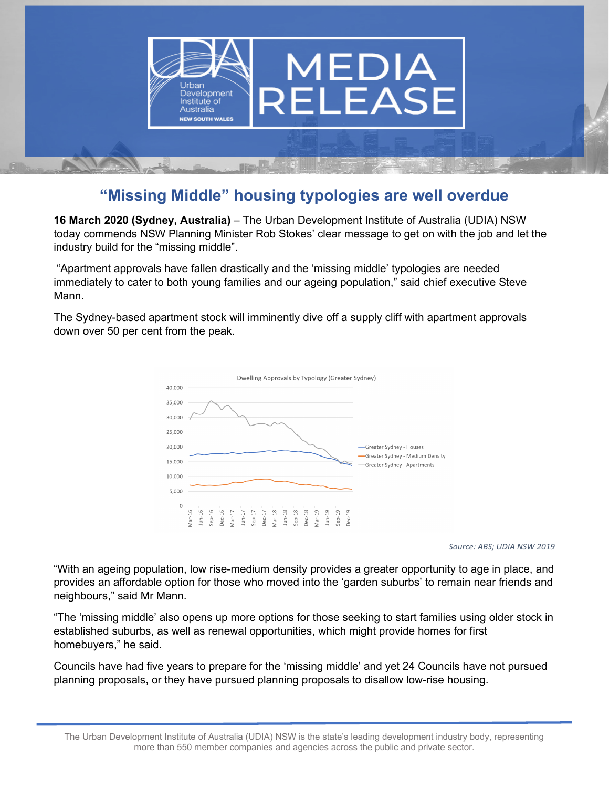

## **"Missing Middle" housing typologies are well overdue**

**16 March 2020 (Sydney, Australia)** – The Urban Development Institute of Australia (UDIA) NSW today commends NSW Planning Minister Rob Stokes' clear message to get on with the job and let the industry build for the "missing middle".

"Apartment approvals have fallen drastically and the 'missing middle' typologies are needed immediately to cater to both young families and our ageing population," said chief executive Steve Mann.

The Sydney-based apartment stock will imminently dive off a supply cliff with apartment approvals down over 50 per cent from the peak.



*Source: ABS; UDIA NSW 2019*

"With an ageing population, low rise-medium density provides a greater opportunity to age in place, and provides an affordable option for those who moved into the 'garden suburbs' to remain near friends and neighbours," said Mr Mann.

"The 'missing middle' also opens up more options for those seeking to start families using older stock in established suburbs, as well as renewal opportunities, which might provide homes for first homebuyers," he said.

Councils have had five years to prepare for the 'missing middle' and yet 24 Councils have not pursued planning proposals, or they have pursued planning proposals to disallow low-rise housing.